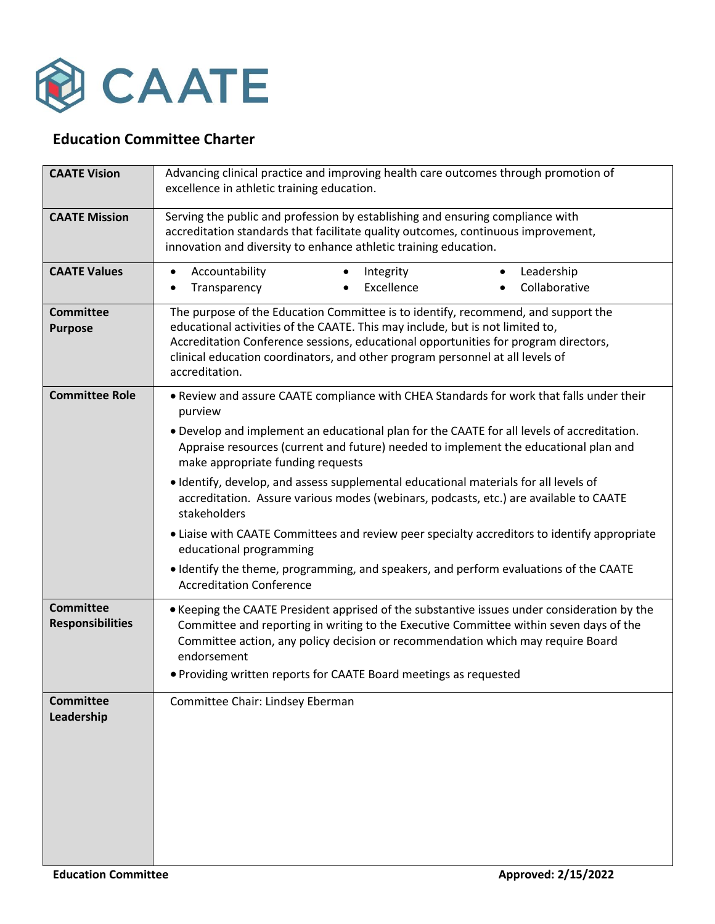

## **Education Committee Charter**

| <b>CAATE Vision</b>                         | Advancing clinical practice and improving health care outcomes through promotion of<br>excellence in athletic training education.                                                                                                                                                                                                                            |
|---------------------------------------------|--------------------------------------------------------------------------------------------------------------------------------------------------------------------------------------------------------------------------------------------------------------------------------------------------------------------------------------------------------------|
| <b>CAATE Mission</b>                        | Serving the public and profession by establishing and ensuring compliance with<br>accreditation standards that facilitate quality outcomes, continuous improvement,<br>innovation and diversity to enhance athletic training education.                                                                                                                      |
| <b>CAATE Values</b>                         | Accountability<br>Leadership<br>Integrity<br>$\bullet$<br>$\bullet$<br>$\bullet$<br>Collaborative<br>Excellence<br>Transparency<br>$\bullet$                                                                                                                                                                                                                 |
| <b>Committee</b><br><b>Purpose</b>          | The purpose of the Education Committee is to identify, recommend, and support the<br>educational activities of the CAATE. This may include, but is not limited to,<br>Accreditation Conference sessions, educational opportunities for program directors,<br>clinical education coordinators, and other program personnel at all levels of<br>accreditation. |
| <b>Committee Role</b>                       | . Review and assure CAATE compliance with CHEA Standards for work that falls under their<br>purview                                                                                                                                                                                                                                                          |
|                                             | . Develop and implement an educational plan for the CAATE for all levels of accreditation.<br>Appraise resources (current and future) needed to implement the educational plan and<br>make appropriate funding requests                                                                                                                                      |
|                                             | . Identify, develop, and assess supplemental educational materials for all levels of<br>accreditation. Assure various modes (webinars, podcasts, etc.) are available to CAATE<br>stakeholders                                                                                                                                                                |
|                                             | • Liaise with CAATE Committees and review peer specialty accreditors to identify appropriate<br>educational programming                                                                                                                                                                                                                                      |
|                                             | · Identify the theme, programming, and speakers, and perform evaluations of the CAATE<br><b>Accreditation Conference</b>                                                                                                                                                                                                                                     |
| <b>Committee</b><br><b>Responsibilities</b> | • Keeping the CAATE President apprised of the substantive issues under consideration by the<br>Committee and reporting in writing to the Executive Committee within seven days of the<br>Committee action, any policy decision or recommendation which may require Board<br>endorsement                                                                      |
|                                             | • Providing written reports for CAATE Board meetings as requested                                                                                                                                                                                                                                                                                            |
| <b>Committee</b><br>Leadership              | Committee Chair: Lindsey Eberman                                                                                                                                                                                                                                                                                                                             |